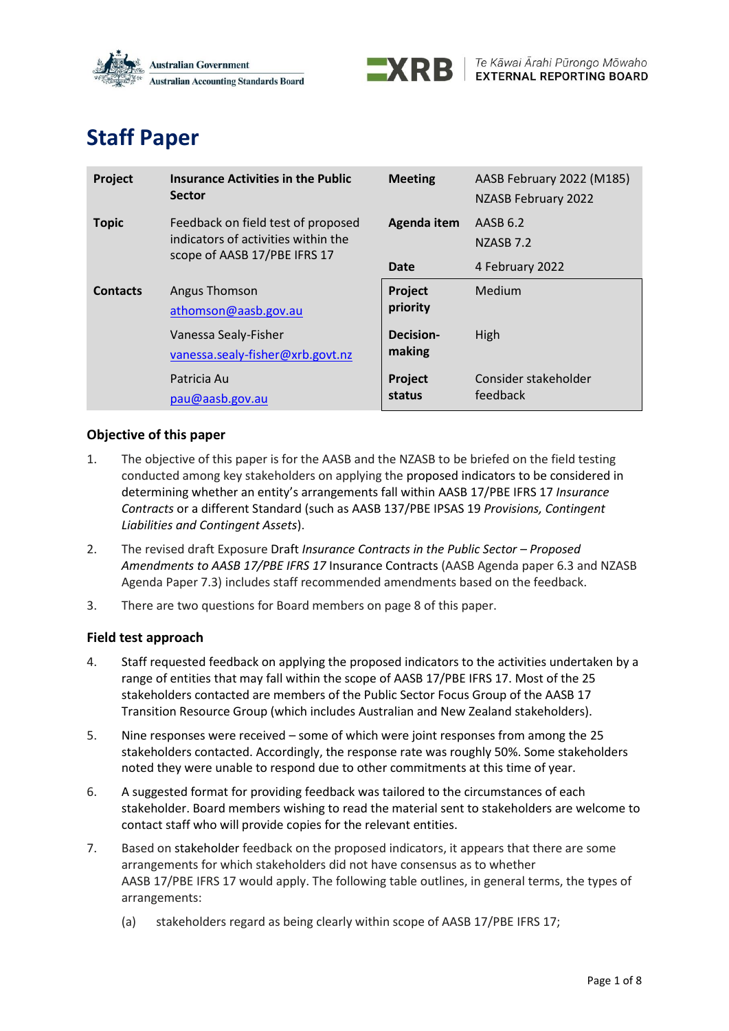



#### **Staff Paper**

| Project         | <b>Insurance Activities in the Public</b><br><b>Sector</b>                                                | <b>Meeting</b>             | AASB February 2022 (M185)<br>NZASB February 2022 |
|-----------------|-----------------------------------------------------------------------------------------------------------|----------------------------|--------------------------------------------------|
| <b>Topic</b>    | Feedback on field test of proposed<br>indicators of activities within the<br>scope of AASB 17/PBE IFRS 17 | Agenda item                | AASB 6.2<br>NZASB <sub>7.2</sub>                 |
|                 |                                                                                                           | Date                       | 4 February 2022                                  |
| <b>Contacts</b> | Angus Thomson<br>athomson@aasb.gov.au                                                                     | Project<br>priority        | Medium                                           |
|                 | Vanessa Sealy-Fisher<br>vanessa.sealy-fisher@xrb.govt.nz                                                  | <b>Decision-</b><br>making | High                                             |
|                 | Patricia Au<br>pau@aash.gov.au                                                                            | Project<br>status          | Consider stakeholder<br>feedback                 |

#### **Objective of this paper**

- 1. The objective of this paper is for the AASB and the NZASB to be briefed on the field testing conducted among key stakeholders on applying the proposed indicators to be considered in determining whether an entity's arrangements fall within AASB 17/PBE IFRS 17 *Insurance Contracts* or a different Standard (such as AASB 137/PBE IPSAS 19 *Provisions, Contingent Liabilities and Contingent Assets*).
- 2. The revised draft Exposure Draft *Insurance Contracts in the Public Sector Proposed Amendments to AASB 17/PBE IFRS 17* Insurance Contracts (AASB Agenda paper 6.3 and NZASB Agenda Paper 7.3) includes staff recommended amendments based on the feedback.
- 3. There are two questions for Board members on page 8 of this paper.

#### **Field test approach**

- 4. Staff requested feedback on applying the proposed indicators to the activities undertaken by a range of entities that may fall within the scope of AASB 17/PBE IFRS 17. Most of the 25 stakeholders contacted are members of the Public Sector Focus Group of the AASB 17 Transition Resource Group (which includes Australian and New Zealand stakeholders).
- 5. Nine responses were received some of which were joint responses from among the 25 stakeholders contacted. Accordingly, the response rate was roughly 50%. Some stakeholders noted they were unable to respond due to other commitments at this time of year.
- 6. A suggested format for providing feedback was tailored to the circumstances of each stakeholder. Board members wishing to read the material sent to stakeholders are welcome to contact staff who will provide copies for the relevant entities.
- 7. Based on stakeholder feedback on the proposed indicators, it appears that there are some arrangements for which stakeholders did not have consensus as to whether AASB 17/PBE IFRS 17 would apply. The following table outlines, in general terms, the types of arrangements:
	- (a) stakeholders regard as being clearly within scope of AASB 17/PBE IFRS 17;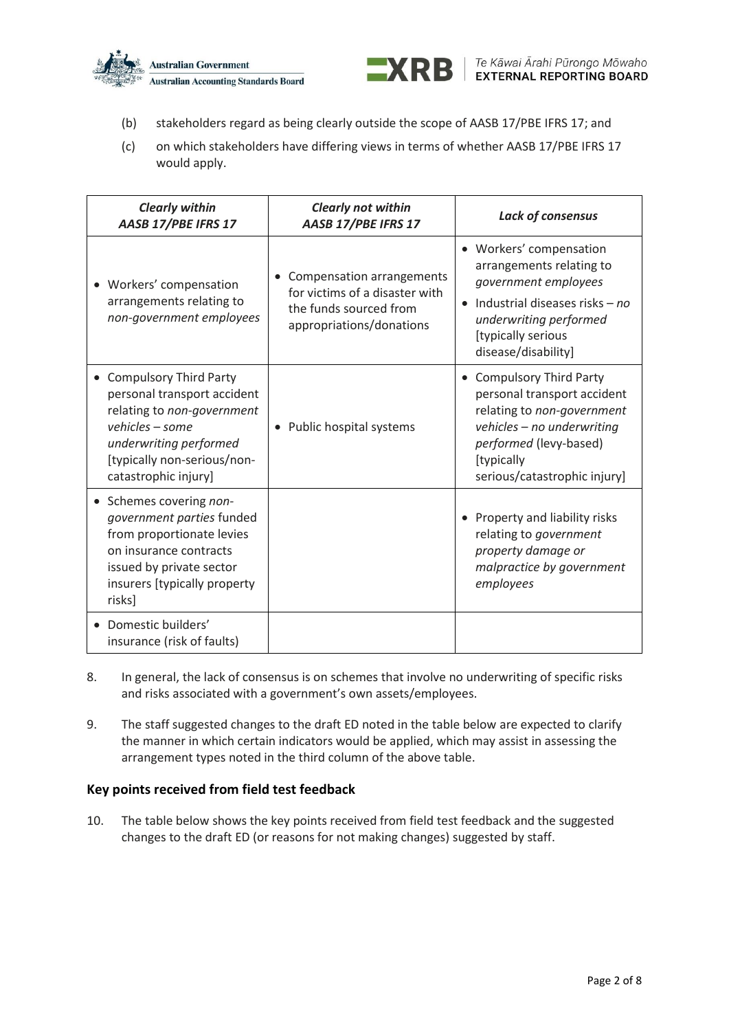



- (b) stakeholders regard as being clearly outside the scope of AASB 17/PBE IFRS 17; and
- (c) on which stakeholders have differing views in terms of whether AASB 17/PBE IFRS 17 would apply.

| <b>Clearly within</b><br>AASB 17/PBE IFRS 17                                                                                                                                                   | <b>Clearly not within</b><br>AASB 17/PBE IFRS 17                                                                  | Lack of consensus                                                                                                                                                                           |
|------------------------------------------------------------------------------------------------------------------------------------------------------------------------------------------------|-------------------------------------------------------------------------------------------------------------------|---------------------------------------------------------------------------------------------------------------------------------------------------------------------------------------------|
| • Workers' compensation<br>arrangements relating to<br>non-government employees                                                                                                                | Compensation arrangements<br>for victims of a disaster with<br>the funds sourced from<br>appropriations/donations | • Workers' compensation<br>arrangements relating to<br>government employees<br>Industrial diseases risks - no<br>underwriting performed<br>[typically serious<br>disease/disability]        |
| <b>Compulsory Third Party</b><br>personal transport accident<br>relating to non-government<br>vehicles – some<br>underwriting performed<br>[typically non-serious/non-<br>catastrophic injury] | • Public hospital systems                                                                                         | • Compulsory Third Party<br>personal transport accident<br>relating to non-government<br>vehicles - no underwriting<br>performed (levy-based)<br>[typically<br>serious/catastrophic injury] |
| Schemes covering non-<br>$\bullet$<br>government parties funded<br>from proportionate levies<br>on insurance contracts<br>issued by private sector<br>insurers [typically property<br>risks]   |                                                                                                                   | Property and liability risks<br>relating to government<br>property damage or<br>malpractice by government<br>employees                                                                      |
| Domestic builders'<br>insurance (risk of faults)                                                                                                                                               |                                                                                                                   |                                                                                                                                                                                             |

- 8. In general, the lack of consensus is on schemes that involve no underwriting of specific risks and risks associated with a government's own assets/employees.
- 9. The staff suggested changes to the draft ED noted in the table below are expected to clarify the manner in which certain indicators would be applied, which may assist in assessing the arrangement types noted in the third column of the above table.

#### **Key points received from field test feedback**

10. The table below shows the key points received from field test feedback and the suggested changes to the draft ED (or reasons for not making changes) suggested by staff.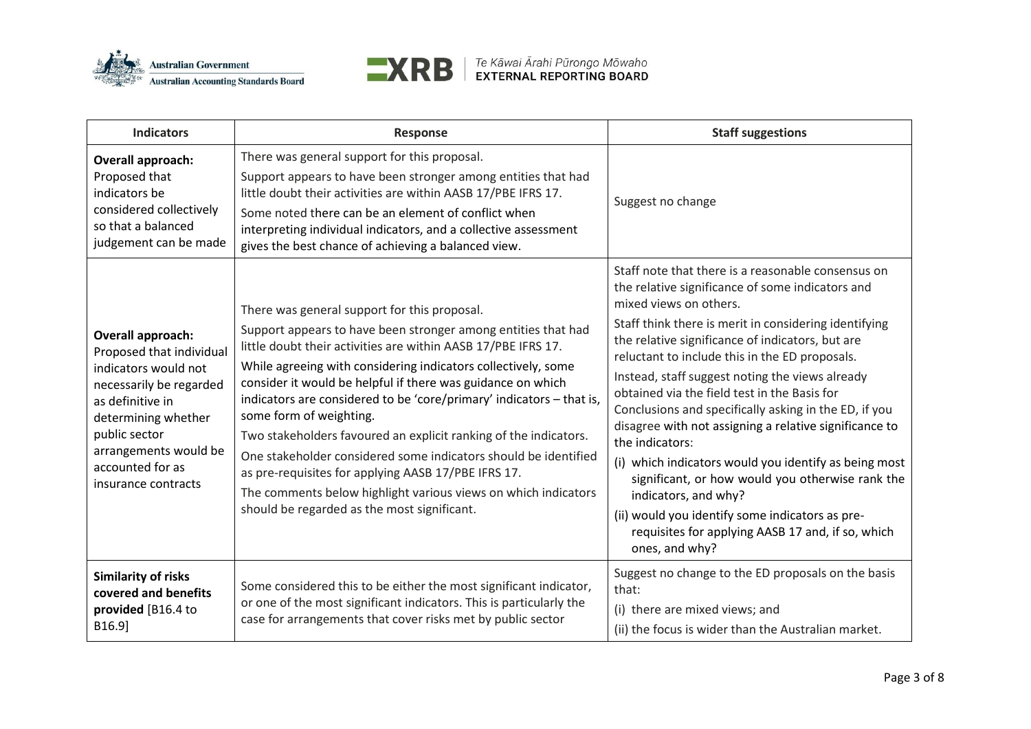



| <b>Indicators</b>                                                                                                                                                                                                                | <b>Response</b>                                                                                                                                                                                                                                                                                                                                                                                                                                                                                                                                                                                                                                                                                                                  | <b>Staff suggestions</b>                                                                                                                                                                                                                                                                                                                                                                                                                                                                                                                                                                                                                                                                                                                                                                                |
|----------------------------------------------------------------------------------------------------------------------------------------------------------------------------------------------------------------------------------|----------------------------------------------------------------------------------------------------------------------------------------------------------------------------------------------------------------------------------------------------------------------------------------------------------------------------------------------------------------------------------------------------------------------------------------------------------------------------------------------------------------------------------------------------------------------------------------------------------------------------------------------------------------------------------------------------------------------------------|---------------------------------------------------------------------------------------------------------------------------------------------------------------------------------------------------------------------------------------------------------------------------------------------------------------------------------------------------------------------------------------------------------------------------------------------------------------------------------------------------------------------------------------------------------------------------------------------------------------------------------------------------------------------------------------------------------------------------------------------------------------------------------------------------------|
| Overall approach:<br>Proposed that<br>indicators be<br>considered collectively<br>so that a balanced<br>judgement can be made                                                                                                    | There was general support for this proposal.<br>Support appears to have been stronger among entities that had<br>little doubt their activities are within AASB 17/PBE IFRS 17.<br>Some noted there can be an element of conflict when<br>interpreting individual indicators, and a collective assessment<br>gives the best chance of achieving a balanced view.                                                                                                                                                                                                                                                                                                                                                                  | Suggest no change                                                                                                                                                                                                                                                                                                                                                                                                                                                                                                                                                                                                                                                                                                                                                                                       |
| Overall approach:<br>Proposed that individual<br>indicators would not<br>necessarily be regarded<br>as definitive in<br>determining whether<br>public sector<br>arrangements would be<br>accounted for as<br>insurance contracts | There was general support for this proposal.<br>Support appears to have been stronger among entities that had<br>little doubt their activities are within AASB 17/PBE IFRS 17.<br>While agreeing with considering indicators collectively, some<br>consider it would be helpful if there was guidance on which<br>indicators are considered to be 'core/primary' indicators - that is,<br>some form of weighting.<br>Two stakeholders favoured an explicit ranking of the indicators.<br>One stakeholder considered some indicators should be identified<br>as pre-requisites for applying AASB 17/PBE IFRS 17.<br>The comments below highlight various views on which indicators<br>should be regarded as the most significant. | Staff note that there is a reasonable consensus on<br>the relative significance of some indicators and<br>mixed views on others.<br>Staff think there is merit in considering identifying<br>the relative significance of indicators, but are<br>reluctant to include this in the ED proposals.<br>Instead, staff suggest noting the views already<br>obtained via the field test in the Basis for<br>Conclusions and specifically asking in the ED, if you<br>disagree with not assigning a relative significance to<br>the indicators:<br>(i) which indicators would you identify as being most<br>significant, or how would you otherwise rank the<br>indicators, and why?<br>(ii) would you identify some indicators as pre-<br>requisites for applying AASB 17 and, if so, which<br>ones, and why? |
| <b>Similarity of risks</b><br>covered and benefits<br>provided [B16.4 to<br>B16.9]                                                                                                                                               | Some considered this to be either the most significant indicator,<br>or one of the most significant indicators. This is particularly the<br>case for arrangements that cover risks met by public sector                                                                                                                                                                                                                                                                                                                                                                                                                                                                                                                          | Suggest no change to the ED proposals on the basis<br>that:<br>(i) there are mixed views; and<br>(ii) the focus is wider than the Australian market.                                                                                                                                                                                                                                                                                                                                                                                                                                                                                                                                                                                                                                                    |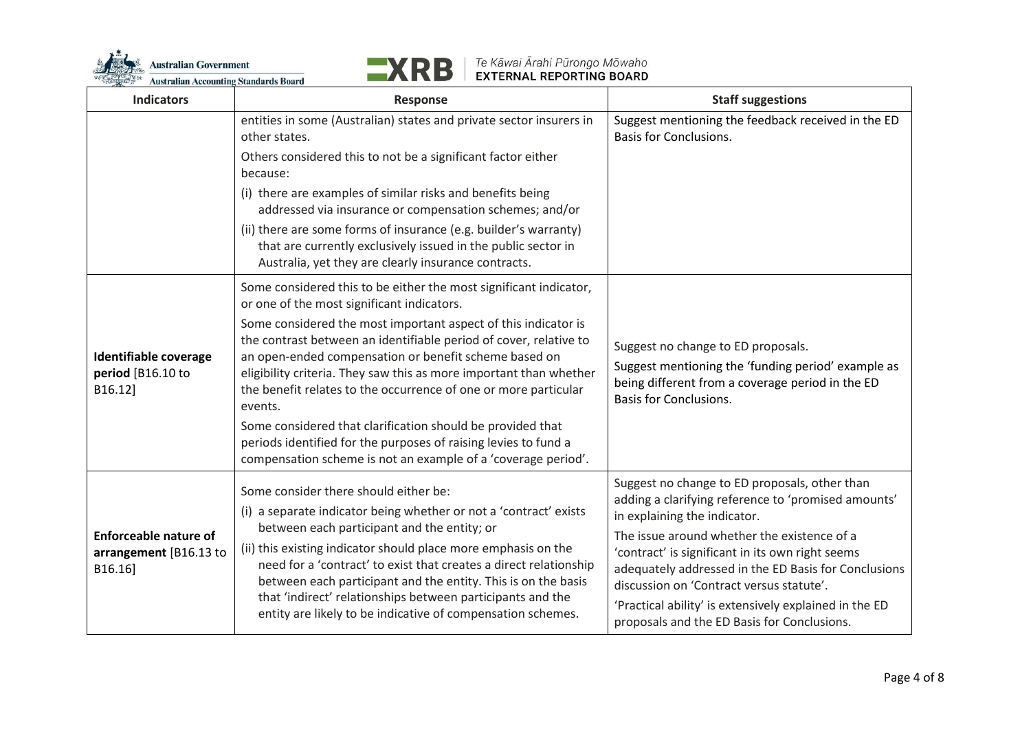



| <b>Indicators</b>                                                 | <b>Response</b>                                                                                                                                                                                                                                                                                                                                                                                                                                                                   | <b>Staff suggestions</b>                                                                                                                                                                            |
|-------------------------------------------------------------------|-----------------------------------------------------------------------------------------------------------------------------------------------------------------------------------------------------------------------------------------------------------------------------------------------------------------------------------------------------------------------------------------------------------------------------------------------------------------------------------|-----------------------------------------------------------------------------------------------------------------------------------------------------------------------------------------------------|
|                                                                   | entities in some (Australian) states and private sector insurers in<br>other states.                                                                                                                                                                                                                                                                                                                                                                                              | Suggest mentioning the feedback received in the ED<br><b>Basis for Conclusions.</b>                                                                                                                 |
|                                                                   | Others considered this to not be a significant factor either<br>because:                                                                                                                                                                                                                                                                                                                                                                                                          |                                                                                                                                                                                                     |
|                                                                   | (i) there are examples of similar risks and benefits being<br>addressed via insurance or compensation schemes; and/or                                                                                                                                                                                                                                                                                                                                                             |                                                                                                                                                                                                     |
|                                                                   | (ii) there are some forms of insurance (e.g. builder's warranty)<br>that are currently exclusively issued in the public sector in<br>Australia, yet they are clearly insurance contracts.                                                                                                                                                                                                                                                                                         |                                                                                                                                                                                                     |
|                                                                   | Some considered this to be either the most significant indicator,<br>or one of the most significant indicators.                                                                                                                                                                                                                                                                                                                                                                   |                                                                                                                                                                                                     |
| <b>Identifiable coverage</b><br>period [B16.10 to<br>B16.12]      | Some considered the most important aspect of this indicator is<br>the contrast between an identifiable period of cover, relative to<br>an open-ended compensation or benefit scheme based on<br>eligibility criteria. They saw this as more important than whether<br>the benefit relates to the occurrence of one or more particular<br>events.<br>Some considered that clarification should be provided that<br>periods identified for the purposes of raising levies to fund a | Suggest no change to ED proposals.<br>Suggest mentioning the 'funding period' example as<br>being different from a coverage period in the ED<br><b>Basis for Conclusions.</b>                       |
|                                                                   | compensation scheme is not an example of a 'coverage period'.                                                                                                                                                                                                                                                                                                                                                                                                                     |                                                                                                                                                                                                     |
| <b>Enforceable nature of</b><br>arrangement [B16.13 to<br>B16.16] | Some consider there should either be:<br>(i) a separate indicator being whether or not a 'contract' exists                                                                                                                                                                                                                                                                                                                                                                        | Suggest no change to ED proposals, other than<br>adding a clarifying reference to 'promised amounts'<br>in explaining the indicator.                                                                |
|                                                                   | between each participant and the entity; or<br>(ii) this existing indicator should place more emphasis on the<br>need for a 'contract' to exist that creates a direct relationship<br>between each participant and the entity. This is on the basis<br>that 'indirect' relationships between participants and the<br>entity are likely to be indicative of compensation schemes.                                                                                                  | The issue around whether the existence of a<br>'contract' is significant in its own right seems<br>adequately addressed in the ED Basis for Conclusions<br>discussion on 'Contract versus statute'. |
|                                                                   |                                                                                                                                                                                                                                                                                                                                                                                                                                                                                   | 'Practical ability' is extensively explained in the ED<br>proposals and the ED Basis for Conclusions.                                                                                               |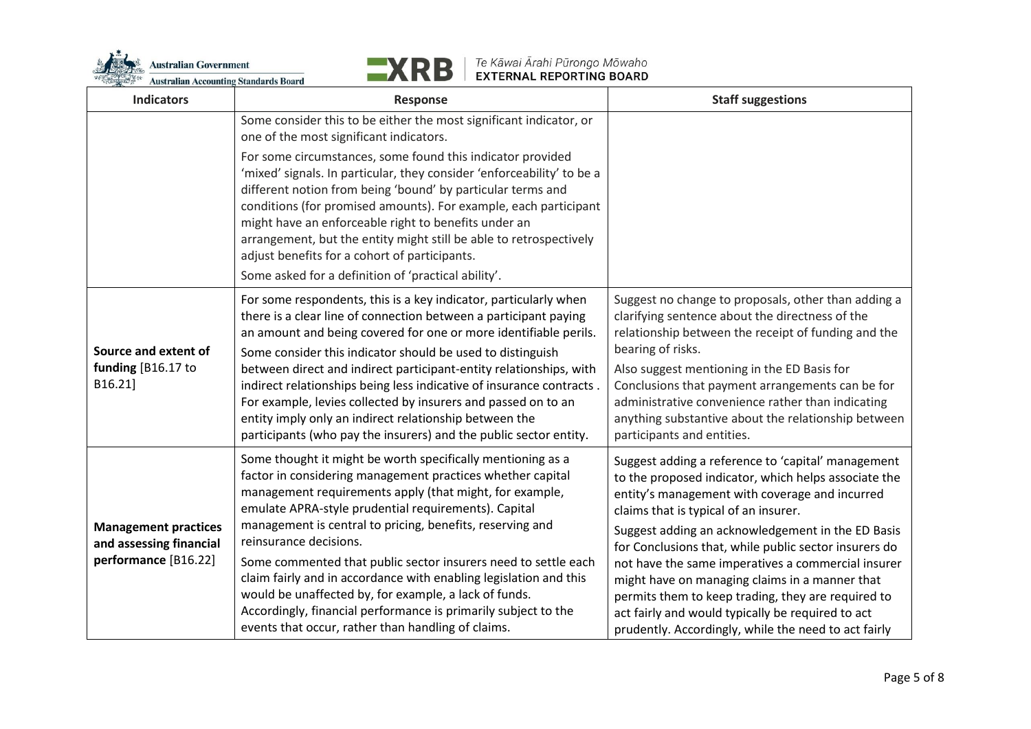



| <b>Indicators</b>                                                              | <b>Response</b>                                                                                                                                                                                                                                                                                                                                                                                                                                                                                                                                                                                                                                             | <b>Staff suggestions</b>                                                                                                                                                                                                                                                                                                                                                                                                                                                                                                                                                                       |
|--------------------------------------------------------------------------------|-------------------------------------------------------------------------------------------------------------------------------------------------------------------------------------------------------------------------------------------------------------------------------------------------------------------------------------------------------------------------------------------------------------------------------------------------------------------------------------------------------------------------------------------------------------------------------------------------------------------------------------------------------------|------------------------------------------------------------------------------------------------------------------------------------------------------------------------------------------------------------------------------------------------------------------------------------------------------------------------------------------------------------------------------------------------------------------------------------------------------------------------------------------------------------------------------------------------------------------------------------------------|
|                                                                                | Some consider this to be either the most significant indicator, or<br>one of the most significant indicators.                                                                                                                                                                                                                                                                                                                                                                                                                                                                                                                                               |                                                                                                                                                                                                                                                                                                                                                                                                                                                                                                                                                                                                |
|                                                                                | For some circumstances, some found this indicator provided<br>'mixed' signals. In particular, they consider 'enforceability' to be a<br>different notion from being 'bound' by particular terms and<br>conditions (for promised amounts). For example, each participant<br>might have an enforceable right to benefits under an<br>arrangement, but the entity might still be able to retrospectively<br>adjust benefits for a cohort of participants.<br>Some asked for a definition of 'practical ability'.                                                                                                                                               |                                                                                                                                                                                                                                                                                                                                                                                                                                                                                                                                                                                                |
| Source and extent of<br>funding [B16.17 to<br>B16.21]                          | For some respondents, this is a key indicator, particularly when<br>there is a clear line of connection between a participant paying<br>an amount and being covered for one or more identifiable perils.<br>Some consider this indicator should be used to distinguish<br>between direct and indirect participant-entity relationships, with<br>indirect relationships being less indicative of insurance contracts.<br>For example, levies collected by insurers and passed on to an<br>entity imply only an indirect relationship between the<br>participants (who pay the insurers) and the public sector entity.                                        | Suggest no change to proposals, other than adding a<br>clarifying sentence about the directness of the<br>relationship between the receipt of funding and the<br>bearing of risks.<br>Also suggest mentioning in the ED Basis for<br>Conclusions that payment arrangements can be for<br>administrative convenience rather than indicating<br>anything substantive about the relationship between<br>participants and entities.                                                                                                                                                                |
| <b>Management practices</b><br>and assessing financial<br>performance [B16.22] | Some thought it might be worth specifically mentioning as a<br>factor in considering management practices whether capital<br>management requirements apply (that might, for example,<br>emulate APRA-style prudential requirements). Capital<br>management is central to pricing, benefits, reserving and<br>reinsurance decisions.<br>Some commented that public sector insurers need to settle each<br>claim fairly and in accordance with enabling legislation and this<br>would be unaffected by, for example, a lack of funds.<br>Accordingly, financial performance is primarily subject to the<br>events that occur, rather than handling of claims. | Suggest adding a reference to 'capital' management<br>to the proposed indicator, which helps associate the<br>entity's management with coverage and incurred<br>claims that is typical of an insurer.<br>Suggest adding an acknowledgement in the ED Basis<br>for Conclusions that, while public sector insurers do<br>not have the same imperatives a commercial insurer<br>might have on managing claims in a manner that<br>permits them to keep trading, they are required to<br>act fairly and would typically be required to act<br>prudently. Accordingly, while the need to act fairly |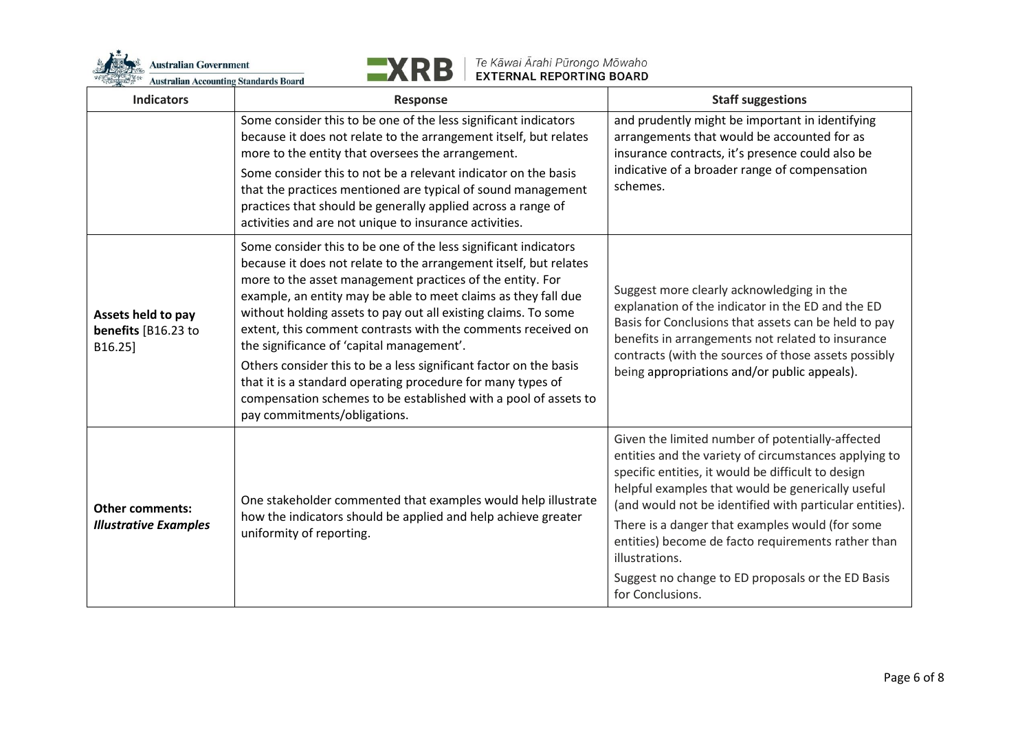



| <b>Indicators</b>                                      | <b>Response</b>                                                                                                                                                                                                                                                                                                                                                                                                                                                                                                                                                                                                                                                                           | <b>Staff suggestions</b>                                                                                                                                                                                                                                                                                                                                                                                                                                                            |
|--------------------------------------------------------|-------------------------------------------------------------------------------------------------------------------------------------------------------------------------------------------------------------------------------------------------------------------------------------------------------------------------------------------------------------------------------------------------------------------------------------------------------------------------------------------------------------------------------------------------------------------------------------------------------------------------------------------------------------------------------------------|-------------------------------------------------------------------------------------------------------------------------------------------------------------------------------------------------------------------------------------------------------------------------------------------------------------------------------------------------------------------------------------------------------------------------------------------------------------------------------------|
|                                                        | Some consider this to be one of the less significant indicators<br>because it does not relate to the arrangement itself, but relates<br>more to the entity that oversees the arrangement.<br>Some consider this to not be a relevant indicator on the basis<br>that the practices mentioned are typical of sound management<br>practices that should be generally applied across a range of<br>activities and are not unique to insurance activities.                                                                                                                                                                                                                                     | and prudently might be important in identifying<br>arrangements that would be accounted for as<br>insurance contracts, it's presence could also be<br>indicative of a broader range of compensation<br>schemes.                                                                                                                                                                                                                                                                     |
| Assets held to pay<br>benefits [B16.23 to<br>B16.25]   | Some consider this to be one of the less significant indicators<br>because it does not relate to the arrangement itself, but relates<br>more to the asset management practices of the entity. For<br>example, an entity may be able to meet claims as they fall due<br>without holding assets to pay out all existing claims. To some<br>extent, this comment contrasts with the comments received on<br>the significance of 'capital management'.<br>Others consider this to be a less significant factor on the basis<br>that it is a standard operating procedure for many types of<br>compensation schemes to be established with a pool of assets to<br>pay commitments/obligations. | Suggest more clearly acknowledging in the<br>explanation of the indicator in the ED and the ED<br>Basis for Conclusions that assets can be held to pay<br>benefits in arrangements not related to insurance<br>contracts (with the sources of those assets possibly<br>being appropriations and/or public appeals).                                                                                                                                                                 |
| <b>Other comments:</b><br><b>Illustrative Examples</b> | One stakeholder commented that examples would help illustrate<br>how the indicators should be applied and help achieve greater<br>uniformity of reporting.                                                                                                                                                                                                                                                                                                                                                                                                                                                                                                                                | Given the limited number of potentially-affected<br>entities and the variety of circumstances applying to<br>specific entities, it would be difficult to design<br>helpful examples that would be generically useful<br>(and would not be identified with particular entities).<br>There is a danger that examples would (for some<br>entities) become de facto requirements rather than<br>illustrations.<br>Suggest no change to ED proposals or the ED Basis<br>for Conclusions. |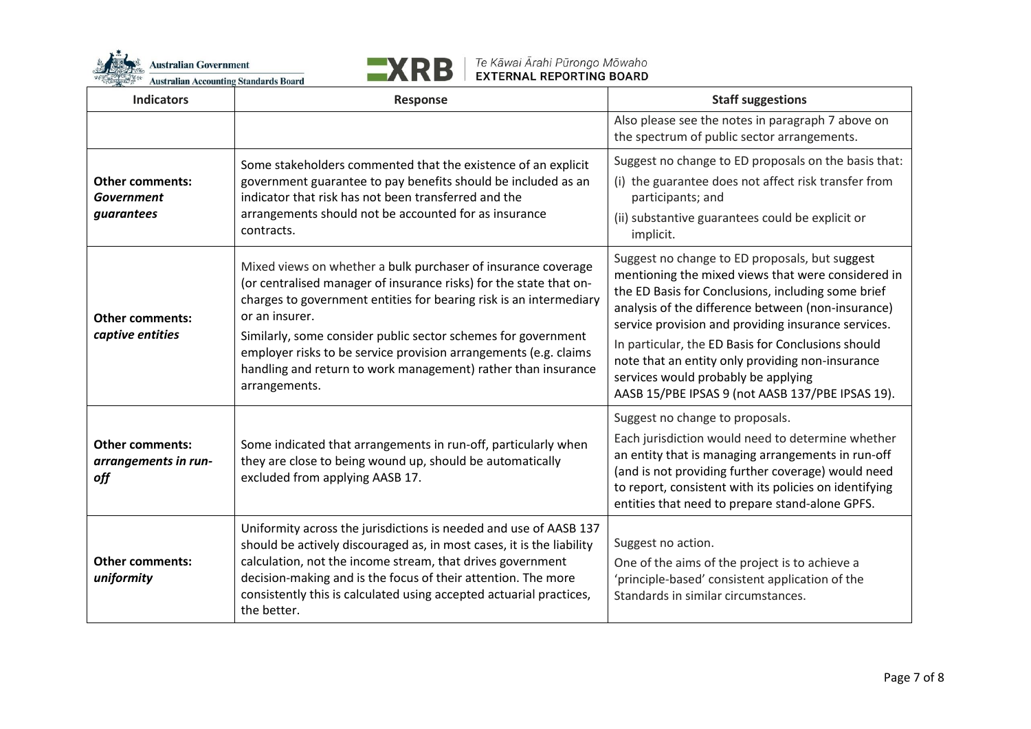



| <b>Indicators</b>                                     | Response                                                                                                                                                                                                                                                                                                                                                                                                                                           | <b>Staff suggestions</b>                                                                                                                                                                                                                                                                                                                                                                                                                                                     |
|-------------------------------------------------------|----------------------------------------------------------------------------------------------------------------------------------------------------------------------------------------------------------------------------------------------------------------------------------------------------------------------------------------------------------------------------------------------------------------------------------------------------|------------------------------------------------------------------------------------------------------------------------------------------------------------------------------------------------------------------------------------------------------------------------------------------------------------------------------------------------------------------------------------------------------------------------------------------------------------------------------|
|                                                       |                                                                                                                                                                                                                                                                                                                                                                                                                                                    | Also please see the notes in paragraph 7 above on<br>the spectrum of public sector arrangements.                                                                                                                                                                                                                                                                                                                                                                             |
| <b>Other comments:</b><br>Government<br>guarantees    | Some stakeholders commented that the existence of an explicit<br>government guarantee to pay benefits should be included as an<br>indicator that risk has not been transferred and the<br>arrangements should not be accounted for as insurance<br>contracts.                                                                                                                                                                                      | Suggest no change to ED proposals on the basis that:<br>(i) the guarantee does not affect risk transfer from<br>participants; and<br>(ii) substantive guarantees could be explicit or<br>implicit.                                                                                                                                                                                                                                                                           |
| <b>Other comments:</b><br>captive entities            | Mixed views on whether a bulk purchaser of insurance coverage<br>(or centralised manager of insurance risks) for the state that on-<br>charges to government entities for bearing risk is an intermediary<br>or an insurer.<br>Similarly, some consider public sector schemes for government<br>employer risks to be service provision arrangements (e.g. claims<br>handling and return to work management) rather than insurance<br>arrangements. | Suggest no change to ED proposals, but suggest<br>mentioning the mixed views that were considered in<br>the ED Basis for Conclusions, including some brief<br>analysis of the difference between (non-insurance)<br>service provision and providing insurance services.<br>In particular, the ED Basis for Conclusions should<br>note that an entity only providing non-insurance<br>services would probably be applying<br>AASB 15/PBE IPSAS 9 (not AASB 137/PBE IPSAS 19). |
| <b>Other comments:</b><br>arrangements in run-<br>off | Some indicated that arrangements in run-off, particularly when<br>they are close to being wound up, should be automatically<br>excluded from applying AASB 17.                                                                                                                                                                                                                                                                                     | Suggest no change to proposals.<br>Each jurisdiction would need to determine whether<br>an entity that is managing arrangements in run-off<br>(and is not providing further coverage) would need<br>to report, consistent with its policies on identifying<br>entities that need to prepare stand-alone GPFS.                                                                                                                                                                |
| <b>Other comments:</b><br>uniformity                  | Uniformity across the jurisdictions is needed and use of AASB 137<br>should be actively discouraged as, in most cases, it is the liability<br>calculation, not the income stream, that drives government<br>decision-making and is the focus of their attention. The more<br>consistently this is calculated using accepted actuarial practices,<br>the better.                                                                                    | Suggest no action.<br>One of the aims of the project is to achieve a<br>'principle-based' consistent application of the<br>Standards in similar circumstances.                                                                                                                                                                                                                                                                                                               |